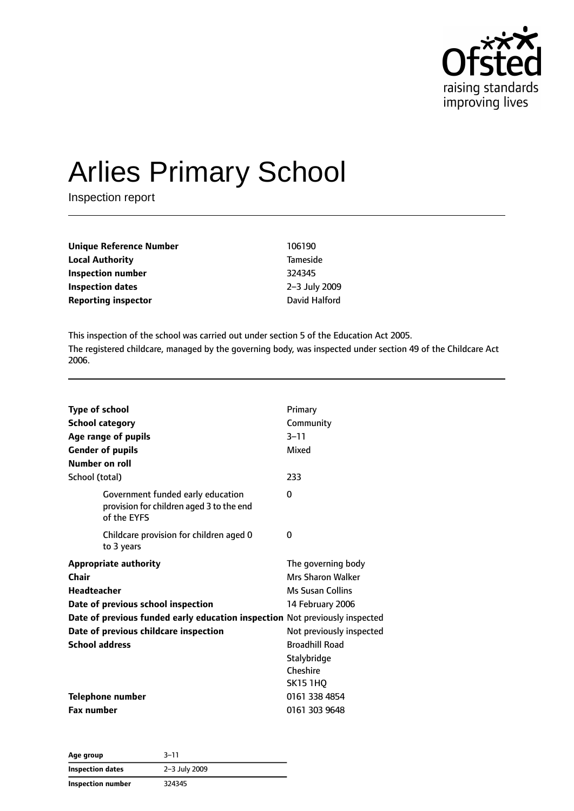

# Arlies Primary School

Inspection report

| Unique Reference Number    | 106190          |
|----------------------------|-----------------|
| <b>Local Authority</b>     | <b>Tameside</b> |
| Inspection number          | 324345          |
| <b>Inspection dates</b>    | 2-3 July 2009   |
| <b>Reporting inspector</b> | David Halford   |

This inspection of the school was carried out under section 5 of the Education Act 2005. The registered childcare, managed by the governing body, was inspected under section 49 of the Childcare Act 2006.

| <b>Type of school</b><br><b>School category</b><br>Age range of pupils<br><b>Gender of pupils</b><br>Number on roll<br>School (total) | Primary<br>Community<br>$3 - 11$<br>Mixed<br>233 |
|---------------------------------------------------------------------------------------------------------------------------------------|--------------------------------------------------|
|                                                                                                                                       |                                                  |
| Government funded early education<br>provision for children aged 3 to the end<br>of the EYFS                                          | 0                                                |
| Childcare provision for children aged 0<br>to 3 years                                                                                 | 0                                                |
| <b>Appropriate authority</b>                                                                                                          | The governing body                               |
| Chair                                                                                                                                 | <b>Mrs Sharon Walker</b>                         |
| <b>Headteacher</b>                                                                                                                    | <b>Ms Susan Collins</b>                          |
| Date of previous school inspection                                                                                                    | 14 February 2006                                 |
| Date of previous funded early education inspection Not previously inspected                                                           |                                                  |
| Date of previous childcare inspection                                                                                                 | Not previously inspected                         |
| <b>School address</b>                                                                                                                 | <b>Broadhill Road</b>                            |
|                                                                                                                                       | Stalybridge                                      |
|                                                                                                                                       | Cheshire                                         |
|                                                                                                                                       | <b>SK15 1HQ</b>                                  |
| <b>Telephone number</b>                                                                                                               | 0161 338 4854                                    |
| <b>Fax number</b>                                                                                                                     | 0161 303 9648                                    |

| Age group         | $3 - 11$      |
|-------------------|---------------|
| Inspection dates  | 2-3 July 2009 |
| Inspection number | 324345        |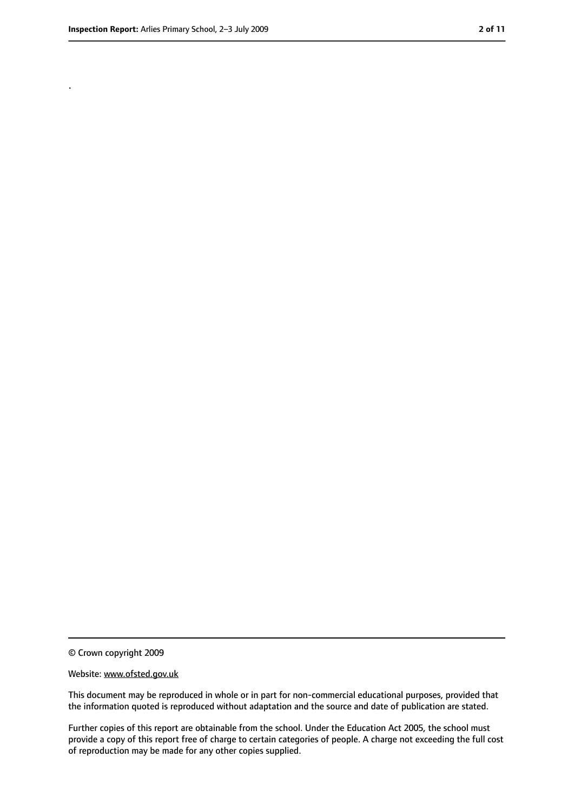.

<sup>©</sup> Crown copyright 2009

Website: www.ofsted.gov.uk

This document may be reproduced in whole or in part for non-commercial educational purposes, provided that the information quoted is reproduced without adaptation and the source and date of publication are stated.

Further copies of this report are obtainable from the school. Under the Education Act 2005, the school must provide a copy of this report free of charge to certain categories of people. A charge not exceeding the full cost of reproduction may be made for any other copies supplied.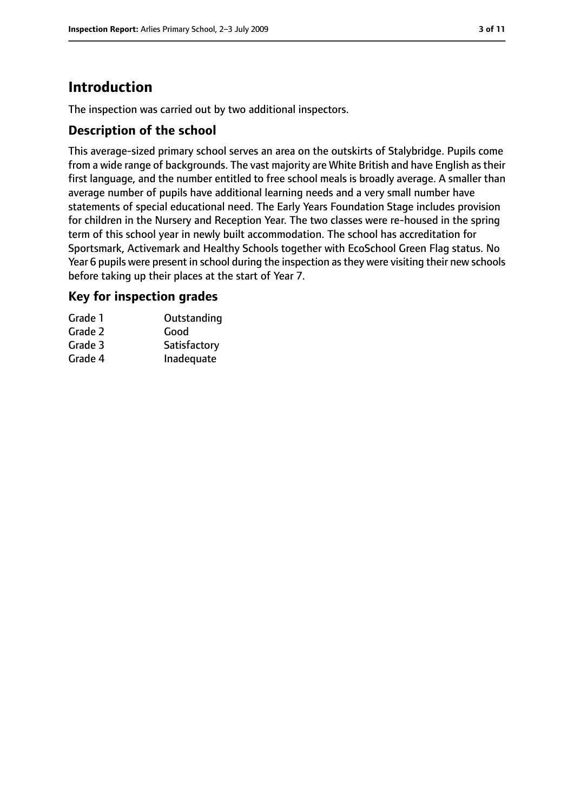# **Introduction**

The inspection was carried out by two additional inspectors.

#### **Description of the school**

This average-sized primary school serves an area on the outskirts of Stalybridge. Pupils come from a wide range of backgrounds. The vast majority are White British and have English as their first language, and the number entitled to free school meals is broadly average. A smaller than average number of pupils have additional learning needs and a very small number have statements of special educational need. The Early Years Foundation Stage includes provision for children in the Nursery and Reception Year. The two classes were re-housed in the spring term of this school year in newly built accommodation. The school has accreditation for Sportsmark, Activemark and Healthy Schools together with EcoSchool Green Flag status. No Year 6 pupils were present in school during the inspection asthey were visiting their new schools before taking up their places at the start of Year 7.

#### **Key for inspection grades**

| Grade 1 | Outstanding  |
|---------|--------------|
| Grade 2 | Good         |
| Grade 3 | Satisfactory |
| Grade 4 | Inadequate   |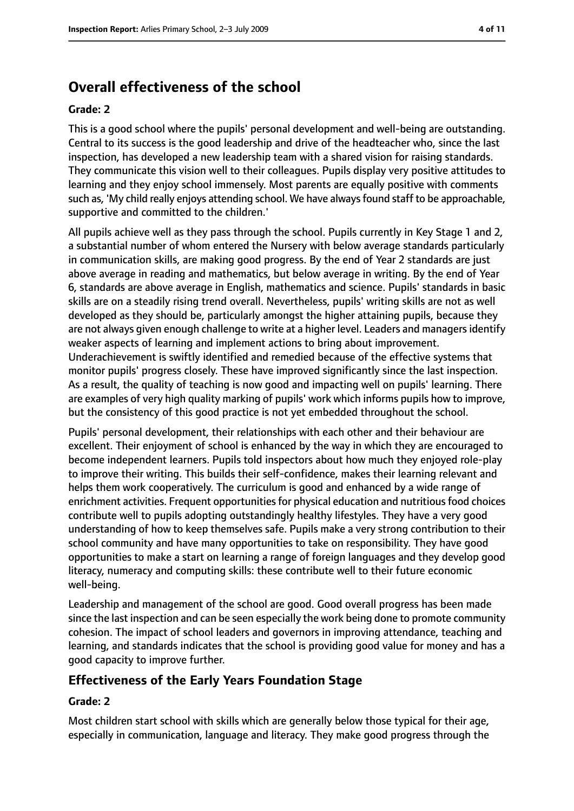# **Overall effectiveness of the school**

#### **Grade: 2**

This is a good school where the pupils' personal development and well-being are outstanding. Central to its success is the good leadership and drive of the headteacher who, since the last inspection, has developed a new leadership team with a shared vision for raising standards. They communicate this vision well to their colleagues. Pupils display very positive attitudes to learning and they enjoy school immensely. Most parents are equally positive with comments such as, 'My child really enjoys attending school. We have always found staff to be approachable, supportive and committed to the children.'

All pupils achieve well as they pass through the school. Pupils currently in Key Stage 1 and 2, a substantial number of whom entered the Nursery with below average standards particularly in communication skills, are making good progress. By the end of Year 2 standards are just above average in reading and mathematics, but below average in writing. By the end of Year 6, standards are above average in English, mathematics and science. Pupils' standards in basic skills are on a steadily rising trend overall. Nevertheless, pupils' writing skills are not as well developed as they should be, particularly amongst the higher attaining pupils, because they are not always given enough challenge to write at a higher level. Leaders and managers identify weaker aspects of learning and implement actions to bring about improvement. Underachievement is swiftly identified and remedied because of the effective systems that monitor pupils' progress closely. These have improved significantly since the last inspection. As a result, the quality of teaching is now good and impacting well on pupils' learning. There are examples of very high quality marking of pupils' work which informs pupils how to improve, but the consistency of this good practice is not yet embedded throughout the school.

Pupils' personal development, their relationships with each other and their behaviour are excellent. Their enjoyment of school is enhanced by the way in which they are encouraged to become independent learners. Pupils told inspectors about how much they enjoyed role-play to improve their writing. This builds their self-confidence, makes their learning relevant and helps them work cooperatively. The curriculum is good and enhanced by a wide range of enrichment activities. Frequent opportunities for physical education and nutritious food choices contribute well to pupils adopting outstandingly healthy lifestyles. They have a very good understanding of how to keep themselves safe. Pupils make a very strong contribution to their school community and have many opportunities to take on responsibility. They have good opportunities to make a start on learning a range of foreign languages and they develop good literacy, numeracy and computing skills: these contribute well to their future economic well-being.

Leadership and management of the school are good. Good overall progress has been made since the last inspection and can be seen especially the work being done to promote community cohesion. The impact of school leaders and governors in improving attendance, teaching and learning, and standards indicates that the school is providing good value for money and has a good capacity to improve further.

## **Effectiveness of the Early Years Foundation Stage**

#### **Grade: 2**

Most children start school with skills which are generally below those typical for their age, especially in communication, language and literacy. They make good progress through the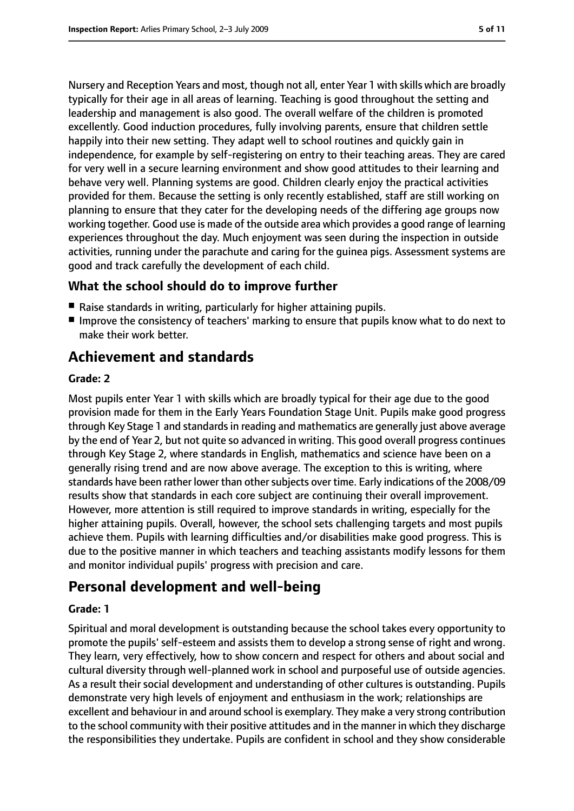Nursery and Reception Years and most, though not all, enter Year 1 with skills which are broadly typically for their age in all areas of learning. Teaching is good throughout the setting and leadership and management is also good. The overall welfare of the children is promoted excellently. Good induction procedures, fully involving parents, ensure that children settle happily into their new setting. They adapt well to school routines and quickly gain in independence, for example by self-registering on entry to their teaching areas. They are cared for very well in a secure learning environment and show good attitudes to their learning and behave very well. Planning systems are good. Children clearly enjoy the practical activities provided for them. Because the setting is only recently established, staff are still working on planning to ensure that they cater for the developing needs of the differing age groups now working together. Good use is made of the outside area which provides a good range of learning experiences throughout the day. Much enjoyment was seen during the inspection in outside activities, running under the parachute and caring for the guinea pigs. Assessment systems are good and track carefully the development of each child.

# **What the school should do to improve further**

- Raise standards in writing, particularly for higher attaining pupils.
- Improve the consistency of teachers' marking to ensure that pupils know what to do next to make their work better.

# **Achievement and standards**

# **Grade: 2**

Most pupils enter Year 1 with skills which are broadly typical for their age due to the good provision made for them in the Early Years Foundation Stage Unit. Pupils make good progress through Key Stage 1 and standardsin reading and mathematics are generally just above average by the end of Year 2, but not quite so advanced in writing. This good overall progress continues through Key Stage 2, where standards in English, mathematics and science have been on a generally rising trend and are now above average. The exception to this is writing, where standards have been rather lower than other subjects over time. Early indications of the 2008/09 results show that standards in each core subject are continuing their overall improvement. However, more attention is still required to improve standards in writing, especially for the higher attaining pupils. Overall, however, the school sets challenging targets and most pupils achieve them. Pupils with learning difficulties and/or disabilities make good progress. This is due to the positive manner in which teachers and teaching assistants modify lessons for them and monitor individual pupils' progress with precision and care.

# **Personal development and well-being**

## **Grade: 1**

Spiritual and moral development is outstanding because the school takes every opportunity to promote the pupils' self-esteem and assists them to develop a strong sense of right and wrong. They learn, very effectively, how to show concern and respect for others and about social and cultural diversity through well-planned work in school and purposeful use of outside agencies. As a result their social development and understanding of other cultures is outstanding. Pupils demonstrate very high levels of enjoyment and enthusiasm in the work; relationships are excellent and behaviour in and around school is exemplary. They make a very strong contribution to the school community with their positive attitudes and in the manner in which they discharge the responsibilities they undertake. Pupils are confident in school and they show considerable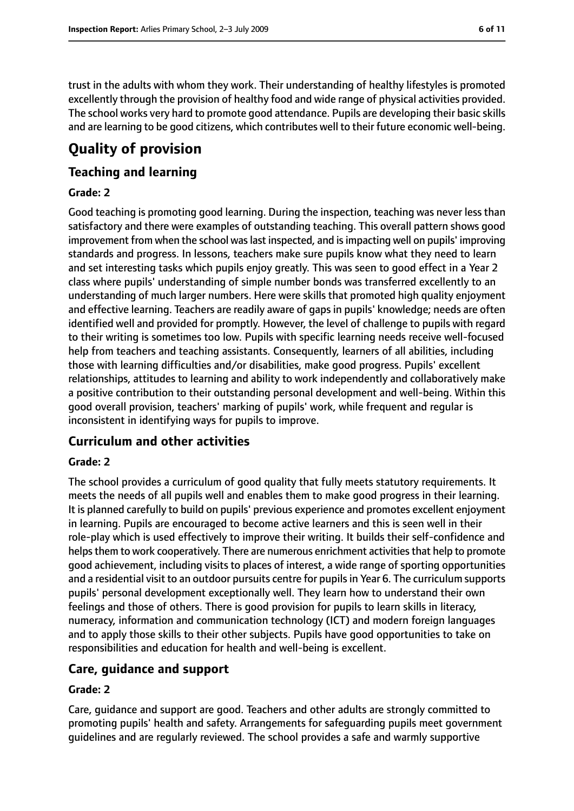trust in the adults with whom they work. Their understanding of healthy lifestyles is promoted excellently through the provision of healthy food and wide range of physical activities provided. The school works very hard to promote good attendance. Pupils are developing their basic skills and are learning to be good citizens, which contributes well to their future economic well-being.

# **Quality of provision**

## **Teaching and learning**

#### **Grade: 2**

Good teaching is promoting good learning. During the inspection, teaching was never less than satisfactory and there were examples of outstanding teaching. This overall pattern shows good improvement from when the school waslast inspected, and isimpacting well on pupils' improving standards and progress. In lessons, teachers make sure pupils know what they need to learn and set interesting tasks which pupils enjoy greatly. This was seen to good effect in a Year 2 class where pupils' understanding of simple number bonds was transferred excellently to an understanding of much larger numbers. Here were skills that promoted high quality enjoyment and effective learning. Teachers are readily aware of gaps in pupils' knowledge; needs are often identified well and provided for promptly. However, the level of challenge to pupils with regard to their writing is sometimes too low. Pupils with specific learning needs receive well-focused help from teachers and teaching assistants. Consequently, learners of all abilities, including those with learning difficulties and/or disabilities, make good progress. Pupils' excellent relationships, attitudes to learning and ability to work independently and collaboratively make a positive contribution to their outstanding personal development and well-being. Within this good overall provision, teachers' marking of pupils' work, while frequent and regular is inconsistent in identifying ways for pupils to improve.

## **Curriculum and other activities**

#### **Grade: 2**

The school provides a curriculum of good quality that fully meets statutory requirements. It meets the needs of all pupils well and enables them to make good progress in their learning. It is planned carefully to build on pupils' previous experience and promotes excellent enjoyment in learning. Pupils are encouraged to become active learners and this is seen well in their role-play which is used effectively to improve their writing. It builds their self-confidence and helps them to work cooperatively. There are numerous enrichment activities that help to promote good achievement, including visits to places of interest, a wide range of sporting opportunities and a residential visit to an outdoor pursuits centre for pupils in Year 6. The curriculum supports pupils' personal development exceptionally well. They learn how to understand their own feelings and those of others. There is good provision for pupils to learn skills in literacy, numeracy, information and communication technology (ICT) and modern foreign languages and to apply those skills to their other subjects. Pupils have good opportunities to take on responsibilities and education for health and well-being is excellent.

## **Care, guidance and support**

#### **Grade: 2**

Care, guidance and support are good. Teachers and other adults are strongly committed to promoting pupils' health and safety. Arrangements for safeguarding pupils meet government guidelines and are regularly reviewed. The school provides a safe and warmly supportive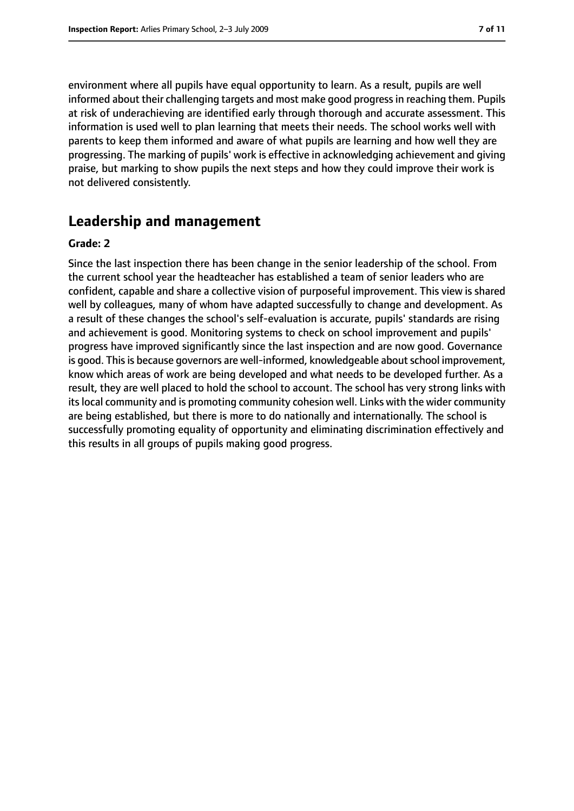environment where all pupils have equal opportunity to learn. As a result, pupils are well informed about their challenging targets and most make good progressin reaching them. Pupils at risk of underachieving are identified early through thorough and accurate assessment. This information is used well to plan learning that meets their needs. The school works well with parents to keep them informed and aware of what pupils are learning and how well they are progressing. The marking of pupils' work is effective in acknowledging achievement and giving praise, but marking to show pupils the next steps and how they could improve their work is not delivered consistently.

# **Leadership and management**

#### **Grade: 2**

Since the last inspection there has been change in the senior leadership of the school. From the current school year the headteacher has established a team of senior leaders who are confident, capable and share a collective vision of purposeful improvement. This view is shared well by colleagues, many of whom have adapted successfully to change and development. As a result of these changes the school's self-evaluation is accurate, pupils' standards are rising and achievement is good. Monitoring systems to check on school improvement and pupils' progress have improved significantly since the last inspection and are now good. Governance is good. This is because governors are well-informed, knowledgeable about school improvement, know which areas of work are being developed and what needs to be developed further. As a result, they are well placed to hold the school to account. The school has very strong links with its local community and is promoting community cohesion well. Links with the wider community are being established, but there is more to do nationally and internationally. The school is successfully promoting equality of opportunity and eliminating discrimination effectively and this results in all groups of pupils making good progress.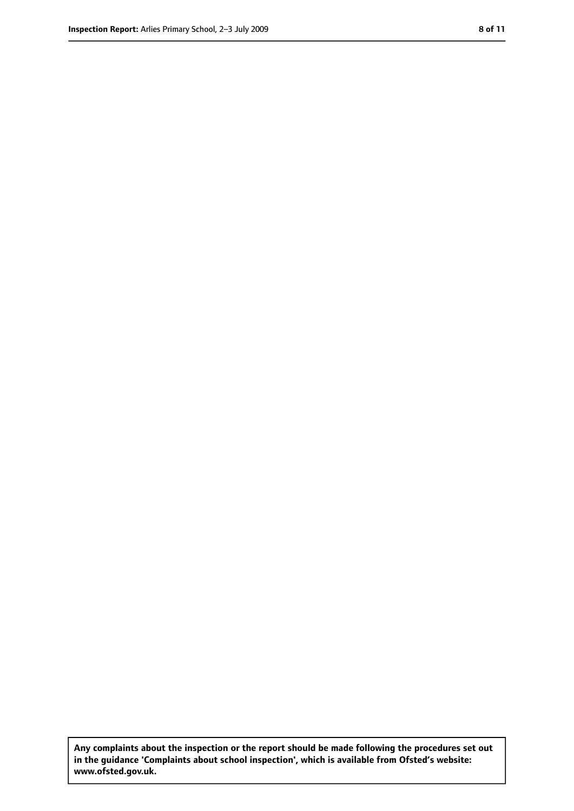**Any complaints about the inspection or the report should be made following the procedures set out in the guidance 'Complaints about school inspection', which is available from Ofsted's website: www.ofsted.gov.uk.**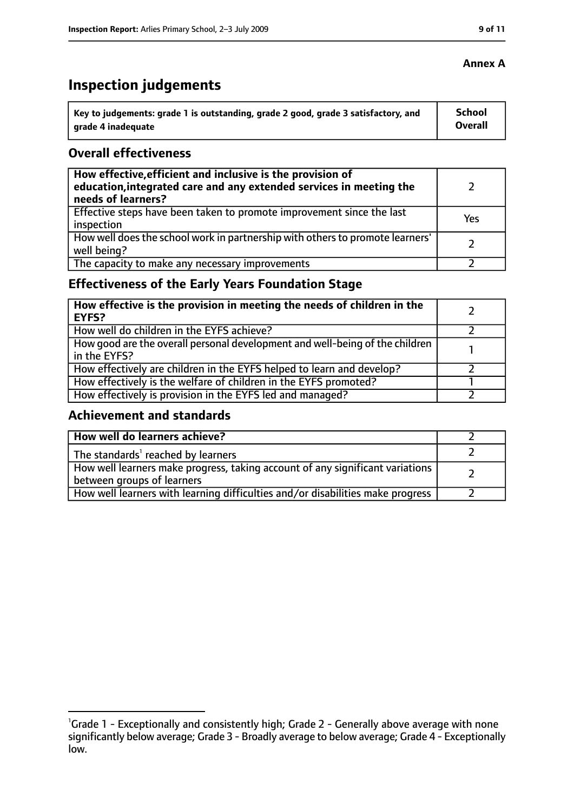# **Inspection judgements**

| $\lq$ Key to judgements: grade 1 is outstanding, grade 2 good, grade 3 satisfactory, and | <b>School</b> |
|------------------------------------------------------------------------------------------|---------------|
| arade 4 inadequate                                                                       | Overall       |

### **Overall effectiveness**

| How effective, efficient and inclusive is the provision of<br>education, integrated care and any extended services in meeting the<br>needs of learners? |     |
|---------------------------------------------------------------------------------------------------------------------------------------------------------|-----|
| Effective steps have been taken to promote improvement since the last<br>inspection                                                                     | Yes |
| How well does the school work in partnership with others to promote learners'<br>well being?                                                            |     |
| The capacity to make any necessary improvements                                                                                                         |     |

# **Effectiveness of the Early Years Foundation Stage**

| How effective is the provision in meeting the needs of children in the<br>l EYFS?            |  |
|----------------------------------------------------------------------------------------------|--|
| How well do children in the EYFS achieve?                                                    |  |
| How good are the overall personal development and well-being of the children<br>in the EYFS? |  |
| How effectively are children in the EYFS helped to learn and develop?                        |  |
| How effectively is the welfare of children in the EYFS promoted?                             |  |
| How effectively is provision in the EYFS led and managed?                                    |  |

#### **Achievement and standards**

| How well do learners achieve?                                                                               |  |
|-------------------------------------------------------------------------------------------------------------|--|
| The standards <sup>1</sup> reached by learners                                                              |  |
| How well learners make progress, taking account of any significant variations<br>between groups of learners |  |
| How well learners with learning difficulties and/or disabilities make progress                              |  |

# **Annex A**

<sup>&</sup>lt;sup>1</sup>Grade 1 - Exceptionally and consistently high; Grade 2 - Generally above average with none significantly below average; Grade 3 - Broadly average to below average; Grade 4 - Exceptionally low.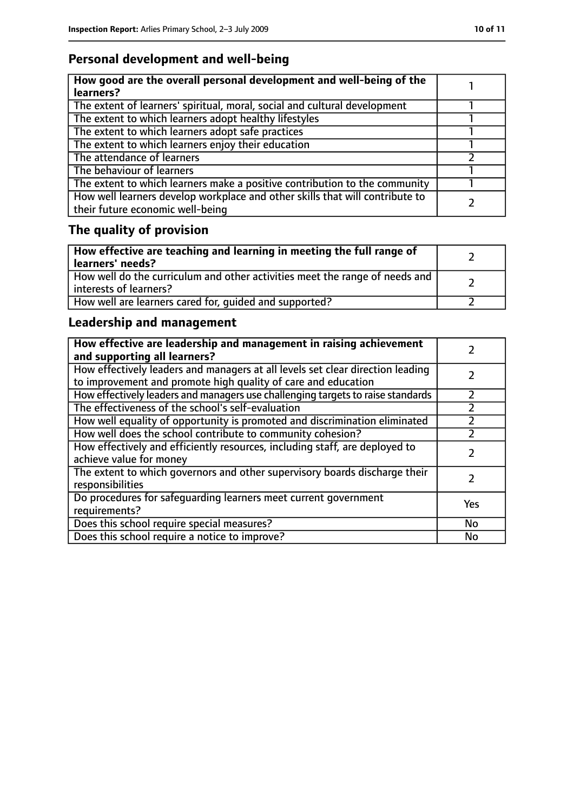# **Personal development and well-being**

| How good are the overall personal development and well-being of the<br>learners?                                 |  |
|------------------------------------------------------------------------------------------------------------------|--|
| The extent of learners' spiritual, moral, social and cultural development                                        |  |
| The extent to which learners adopt healthy lifestyles                                                            |  |
| The extent to which learners adopt safe practices                                                                |  |
| The extent to which learners enjoy their education                                                               |  |
| The attendance of learners                                                                                       |  |
| The behaviour of learners                                                                                        |  |
| The extent to which learners make a positive contribution to the community                                       |  |
| How well learners develop workplace and other skills that will contribute to<br>their future economic well-being |  |

# **The quality of provision**

| How effective are teaching and learning in meeting the full range of<br>learners' needs?              |  |
|-------------------------------------------------------------------------------------------------------|--|
| How well do the curriculum and other activities meet the range of needs and<br>interests of learners? |  |
| How well are learners cared for, quided and supported?                                                |  |

# **Leadership and management**

| How effective are leadership and management in raising achievement<br>and supporting all learners?                                              |     |
|-------------------------------------------------------------------------------------------------------------------------------------------------|-----|
| How effectively leaders and managers at all levels set clear direction leading<br>to improvement and promote high quality of care and education |     |
| How effectively leaders and managers use challenging targets to raise standards                                                                 |     |
| The effectiveness of the school's self-evaluation                                                                                               |     |
| How well equality of opportunity is promoted and discrimination eliminated                                                                      |     |
| How well does the school contribute to community cohesion?                                                                                      |     |
| How effectively and efficiently resources, including staff, are deployed to<br>achieve value for money                                          |     |
| The extent to which governors and other supervisory boards discharge their<br>responsibilities                                                  |     |
| Do procedures for safequarding learners meet current government<br>requirements?                                                                | Yes |
| Does this school require special measures?                                                                                                      | No  |
| Does this school require a notice to improve?                                                                                                   | No  |